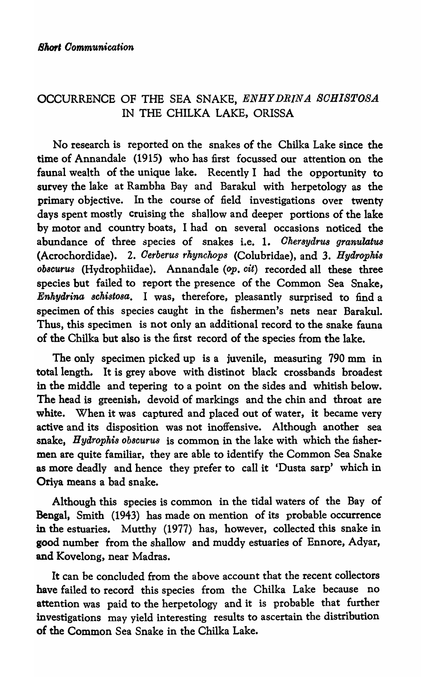## OCCURRENCE OF THE SEA SNAKE, ENHYDRINA SCHISTOSA IN THE CHILKA LAKE, ORISSA

No research is reported on the snakes of the Chilka Lake since the time of Annandale (1915) who has first focussed our attention on the faunal wealth of the unique lake. Recently I had the opportunity to survey the lake at Rambha Bay and Barakul with herpetology as the primary objective. In the course of field investigations over twenty days spent mostly cruising the shallow and deeper portions of the lake by motor and country boats, I had on several occasions noticed the abundance of three species of snakes i.e. 1. *Chersydrus granulatus* (Acrochordidae). 2. *Oerberus rkynckops* (Colubridae), and 3. *Hydropkis*  Ob8CUru,8 (Hydrophiidae). Annandale (op. *cit)* recorded all these three species but failed to report the presence of the Common Sea Snake, *Enkydrina 8chistosa.* I was, therefore, pleasantly surprised to find a specimen of this species caught in the fishermen's nets near Barakul. Thus, this specimen is not only an additional record to the snake fauna of the Chilka but also is the first record of the species from the lake.

The only specimen picked up is a juvenile, measuring 790 mm in total length. It is grey above with distinot black crossbands broadest in the middle and tepering to a point on the sides and whitish below. The head is greenish. devoid of markings and the chin and throat are white. When it was captured and placed out of water, it became very active and its disposition was not inoffensive. Although another sea snake, *Hyarophis obscuru8* is common in the lake with which the fishermen are quite familiar, they are able to identify the Common Sea Snake as more deadly and hence they prefer to call it 'Dusta sarp' which in Oriya means a bad snake.

Although this species is common in the tidal waters of the Bay of Bengal, Smith (1943) has made on mention of its probable occurrence in the estuaries. Mutthy (1977) has, however, collected this snake in good number from the shallow and muddy estuaries of Bnnore, Adyar, and Kovelong, near Madras.

It can be concluded from the above account that the recent collectors have failed to record this species from the Chilka Lake because no attention was paid to the herpetology and it is probable that further investigations may yield interesting results to ascertain the distribution of the Common Sea Snake in the Chilka Lake.